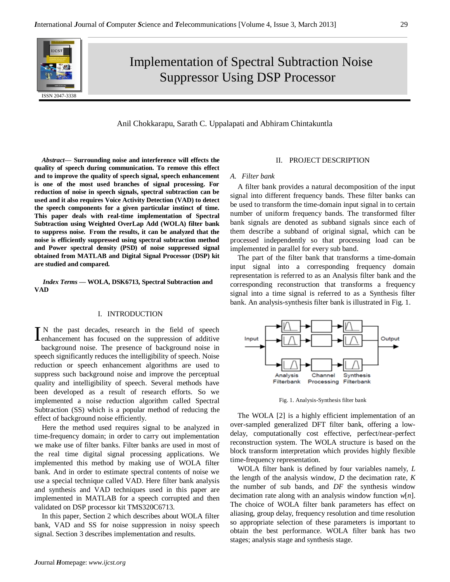

# Implementation of Spectral Subtraction Noise Suppressor Using DSP Processor

## Anil Chokkarapu, Sarath C. Uppalapati and Abhiram Chintakuntla

*Abstract***— Surrounding noise and interference will effects the quality of speech during communication. To remove this effect and to improve the quality of speech signal, speech enhancement is one of the most used branches of signal processing. For reduction of noise in speech signals, spectral subtraction can be used and it also requires Voice Activity Detection (VAD) to detect the speech components for a given particular instinct of time. This paper deals with real-time implementation of Spectral Subtraction using Weighted OverLap Add (WOLA) filter bank to suppress noise. From the results, it can be analyzed that the noise is efficiently suppressed using spectral subtraction method and Power spectral density (PSD) of noise suppressed signal obtained from MATLAB and Digital Signal Processor (DSP) kit are studied and compared.**

*Index Terms* **— WOLA, DSK6713, Spectral Subtraction and VAD**

## I. INTRODUCTION

N the past decades, research in the field of speech IN the past decades, research in the field of speech lenhancement has focused on the suppression of additive

background noise. The presence of background noise in speech significantly reduces the intelligibility of speech. Noise reduction or speech enhancement algorithms are used to suppress such background noise and improve the perceptual quality and intelligibility of speech. Several methods have been developed as a result of research efforts. So we implemented a noise reduction algorithm called Spectral Subtraction (SS) which is a popular method of reducing the effect of background noise efficiently.

Here the method used requires signal to be analyzed in time-frequency domain; in order to carry out implementation we make use of filter banks. Filter banks are used in most of the real time digital signal processing applications. We implemented this method by making use of WOLA filter bank. And in order to estimate spectral contents of noise we use a special technique called VAD. Here filter bank analysis and synthesis and VAD techniques used in this paper are implemented in MATLAB for a speech corrupted and then validated on DSP processor kit TMS320C6713.

In this paper, Section 2 which describes about WOLA filter bank, VAD and SS for noise suppression in noisy speech signal. Section 3 describes implementation and results.

## II. PROJECT DESCRIPTION

#### *A. Filter bank*

A filter bank provides a natural decomposition of the input signal into different frequency bands. These filter banks can be used to transform the time-domain input signal in to certain number of uniform frequency bands. The transformed filter bank signals are denoted as subband signals since each of them describe a subband of original signal, which can be processed independently so that processing load can be implemented in parallel for every sub band.

The part of the filter bank that transforms a time-domain input signal into a corresponding frequency domain representation is referred to as an Analysis filter bank and the corresponding reconstruction that transforms a frequency signal into a time signal is referred to as a Synthesis filter bank. An analysis-synthesis filter bank is illustrated in Fig. 1.



Fig. 1. Analysis-Synthesis filter bank

The WOLA [2] is a highly efficient implementation of an over-sampled generalized DFT filter bank, offering a lowdelay, computationally cost effective, perfect/near-perfect reconstruction system. The WOLA structure is based on the block transform interpretation which provides highly flexible time-frequency representation.

WOLA filter bank is defined by four variables namely, *L*  the length of the analysis window, *D* the decimation rate, *K*  the number of sub bands, and *DF* the synthesis window decimation rate along with an analysis window function *w*[*n*]. The choice of WOLA filter bank parameters has effect on aliasing, group delay, frequency resolution and time resolution so appropriate selection of these parameters is important to obtain the best performance. WOLA filter bank has two stages; analysis stage and synthesis stage.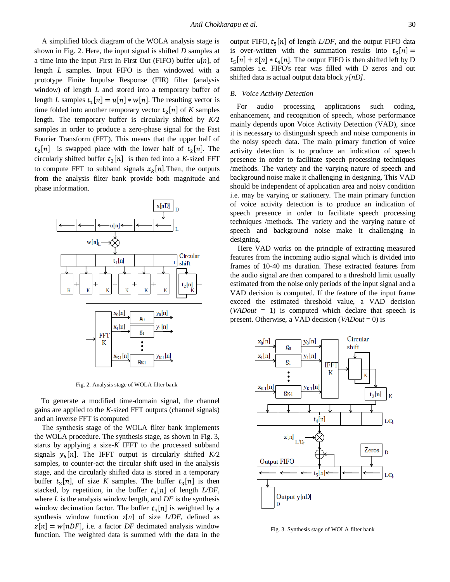A simplified block diagram of the WOLA analysis stage is shown in Fig. 2. Here, the input signal is shifted *D* samples at a time into the input First In First Out (FIFO) buffer *u*[*n*], of length *L* samples. Input FIFO is then windowed with a prototype Finite Impulse Response (FIR) filter (analysis window) of length *L* and stored into a temporary buffer of length *L* samples  $t_1[n] = u[n] * w[n]$ . The resulting vector is time folded into another temporary vector  $t_2[n]$  of K samples length. The temporary buffer is circularly shifted by *K/*2 samples in order to produce a zero-phase signal for the Fast Fourier Transform (FFT). This means that the upper half of  $t_2[n]$  is swapped place with the lower half of  $t_2[n]$ . The circularly shifted buffer  $t_2[n]$  is then fed into a *K*-sized FFT to compute FFT to subband signals  $x_k[n]$ . Then, the outputs from the analysis filter bank provide both magnitude and phase information.



Fig. 2. Analysis stage of WOLA filter bank

To generate a modified time-domain signal, the channel gains are applied to the *K*-sized FFT outputs (channel signals) and an inverse FFT is computed

The synthesis stage of the WOLA filter bank implements the WOLA procedure. The synthesis stage, as shown in Fig. 3, starts by applying a size-*K* IFFT to the processed subband signals  $y_k[n]$ . The IFFT output is circularly shifted  $K/2$ samples, to counter-act the circular shift used in the analysis stage, and the circularly shifted data is stored in a temporary buffer  $t_3[n]$ , of size *K* samples. The buffer  $t_3[n]$  is then stacked, by repetition, in the buffer  $t_4[n]$  of length *L/DF*, where *L* is the analysis window length, and *DF* is the synthesis window decimation factor. The buffer  $t_4[n]$  is weighted by a synthesis window function *z*[*n*] of size *L/DF,* defined as  $z[n] = w[nDF]$ , i.e. a factor *DF* decimated analysis window function. The weighted data is summed with the data in the output FIFO,  $t_5[n]$  of length *L/DF*, and the output FIFO data is over-written with the summation results into  $t_5[n] =$  $t_{\pi}[n] + z[n] * t_4[n]$ . The output FIFO is then shifted left by D samples i.e. FIFO's rear was filled with D zeros and out shifted data is actual output data block *y[nD]*.

## *B. Voice Activity Detection*

For audio processing applications such coding, enhancement, and recognition of speech, whose performance mainly depends upon Voice Activity Detection (VAD), since it is necessary to distinguish speech and noise components in the noisy speech data. The main primary function of voice activity detection is to produce an indication of speech presence in order to facilitate speech processing techniques /methods. The variety and the varying nature of speech and background noise make it challenging in designing. This VAD should be independent of application area and noisy condition i.e. may be varying or stationery. The main primary function of voice activity detection is to produce an indication of speech presence in order to facilitate speech processing techniques /methods. The variety and the varying nature of speech and background noise make it challenging in designing.

Here VAD works on the principle of extracting measured features from the incoming audio signal which is divided into frames of 10-40 ms duration. These extracted features from the audio signal are then compared to a threshold limit usually estimated from the noise only periods of the input signal and a VAD decision is computed. If the feature of the input frame exceed the estimated threshold value, a VAD decision (*VADout* = 1) is computed which declare that speech is present. Otherwise, a VAD decision (*VADout* = 0) is



Fig. 3. Synthesis stage of WOLA filter bank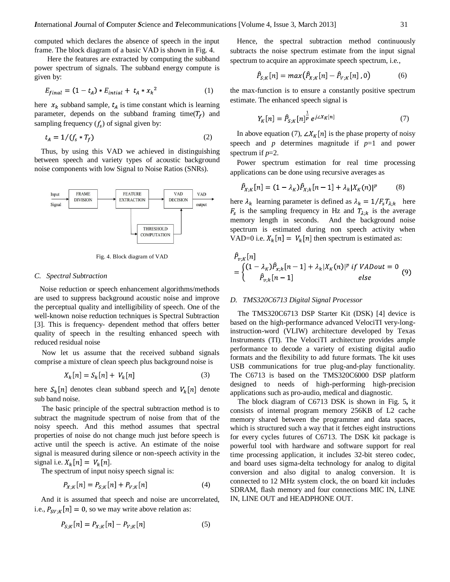computed which declares the absence of speech in the input frame. The block diagram of a basic VAD is shown in Fig. 4.

 Here the features are extracted by computing the subband power spectrum of signals. The subband energy compute is given by:

$$
E_{final} = (1 - t_A) * E_{initial} + t_A * x_k^2
$$
 (1)

here  $x_k$  subband sample,  $t_A$  is time constant which is learning parameter, depends on the subband framing time( $T_f$ ) and sampling frequency  $(f_s)$  of signal given by:

$$
t_A = 1/(f_s * T_f) \tag{2}
$$

Thus, by using this VAD we achieved in distinguishing between speech and variety types of acoustic background noise components with low Signal to Noise Ratios (SNRs).



Fig. 4. Block diagram of VAD

#### *C. Spectral Subtraction*

Noise reduction or speech enhancement algorithms/methods are used to suppress background acoustic noise and improve the perceptual quality and intelligibility of speech. One of the well-known noise reduction techniques is Spectral Subtraction [3]. This is frequency- dependent method that offers better quality of speech in the resulting enhanced speech with reduced residual noise

Now let us assume that the received subband signals comprise a mixture of clean speech plus background noise is

$$
X_k[n] = S_k[n] + V_k[n] \tag{3}
$$

here  $S_k[n]$  denotes clean subband speech and  $V_k[n]$  denote sub band noise.

The basic principle of the spectral subtraction method is to subtract the magnitude spectrum of noise from that of the noisy speech. And this method assumes that spectral properties of noise do not change much just before speech is active until the speech is active. An estimate of the noise signal is measured during silence or non-speech activity in the signal i.e.  $X_k[n] = V_k[n]$ .

The spectrum of input noisy speech signal is:

$$
P_{X,K}[n] = P_{S,K}[n] + P_{V,K}[n] \tag{4}
$$

And it is assumed that speech and noise are uncorrelated, i.e.,  $P_{SV,K}[n] = 0$ , so we may write above relation as:

$$
P_{S,K}[n] = P_{X,K}[n] - P_{V,K}[n] \tag{5}
$$

Hence, the spectral subtraction method continuously subtracts the noise spectrum estimate from the input signal spectrum to acquire an approximate speech spectrum, i.e.,

$$
\hat{P}_{S,K}[n] = max(\hat{P}_{X,K}[n] - \hat{P}_{V,K}[n], 0)
$$
\n(6)

the max-function is to ensure a constantly positive spectrum estimate. The enhanced speech signal is

$$
Y_K[n] = \hat{P}_{S;K}[n]_P^{\frac{1}{p}} e^{j \angle X_K[n]} \tag{7}
$$

In above equation (7),  $\angle X_K[n]$  is the phase property of noisy speech and *p* determines magnitude if  $p=1$  and power spectrum if *p*=2.

Power spectrum estimation for real time processing applications can be done using recursive averages as

$$
\hat{P}_{X,K}[n] = (1 - \lambda_K) \hat{P}_{X,k}[n-1] + \lambda_k |X_K(n)|^p \tag{8}
$$

here  $\lambda_k$  learning parameter is defined as  $\lambda_k = 1/F_sT_{\lambda,k}$  here  $F_s$  is the sampling frequency in Hz and  $T_{\lambda:k}$  is the average memory length in seconds. And the background noise spectrum is estimated during non speech activity when VAD=0 i.e.  $X_k[n] = V_k[n]$  then spectrum is estimated as:

$$
\hat{P}_{v,K}[n] = \begin{cases}\n(1 - \lambda_K)\hat{P}_{x,k}[n-1] + \lambda_k |X_K(n)|^p & \text{if } VADout = 0 \\
\hat{P}_{v,k}[n-1] & \text{else}\n\end{cases} \tag{9}
$$

#### *D. TMS320C6713 Digital Signal Processor*

The TMS320C6713 DSP Starter Kit (DSK) [4] device is based on the high-performance advanced VelociTI very-longinstruction-word (VLIW) architecture developed by Texas Instruments (TI). The VelociTI architecture provides ample performance to decode a variety of existing digital audio formats and the flexibility to add future formats. The kit uses USB communications for true plug-and-play functionality. The C6713 is based on the TMS320C6000 DSP platform designed to needs of high-performing high-precision applications such as pro-audio, medical and diagnostic.

The block diagram of C6713 DSK is shown in Fig. 5**,** it consists of internal program memory 256KB of L2 cache memory shared between the programmer and data spaces, which is structured such a way that it fetches eight instructions for every cycles futures of C6713. The DSK kit package is powerful tool with hardware and software support for real time processing application, it includes 32-bit stereo codec, and board uses sigma-delta technology for analog to digital conversion and also digital to analog conversion. It is connected to 12 MHz system clock, the on board kit includes SDRAM, flash memory and four connections MIC IN, LINE IN, LINE OUT and HEADPHONE OUT.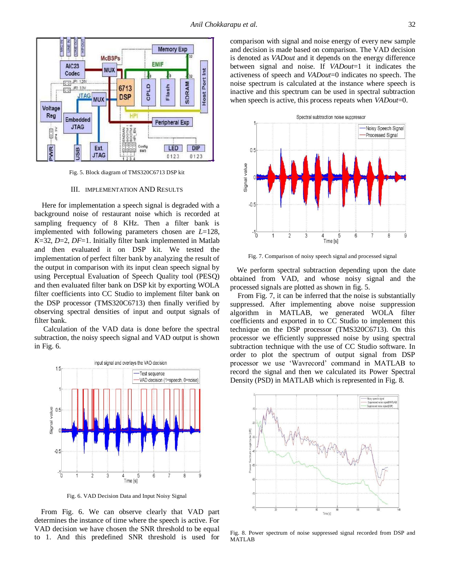

Fig. 5. Block diagram of TMS320C6713 DSP kit

## III. IMPLEMENTATION AND RESULTS

Here for implementation a speech signal is degraded with a background noise of restaurant noise which is recorded at sampling frequency of 8 KHz. Then a filter bank is implemented with following parameters chosen are *L*=128, *K*=32, *D*=2, *DF*=1. Initially filter bank implemented in Matlab and then evaluated it on DSP kit. We tested the implementation of perfect filter bank by analyzing the result of the output in comparison with its input clean speech signal by using Perceptual Evaluation of Speech Quality tool (PESQ) and then evaluated filter bank on DSP kit by exporting WOLA filter coefficients into CC Studio to implement filter bank on the DSP processor (TMS320C6713) then finally verified by observing spectral densities of input and output signals of filter bank.

 Calculation of the VAD data is done before the spectral subtraction, the noisy speech signal and VAD output is shown in Fig. 6.



Fig. 6. VAD Decision Data and Input Noisy Signal

From Fig. 6. We can observe clearly that VAD part determines the instance of time where the speech is active. For VAD decision we have chosen the SNR threshold to be equal to 1. And this predefined SNR threshold is used for comparison with signal and noise energy of every new sample and decision is made based on comparison. The VAD decision is denoted as *VADout* and it depends on the energy difference between signal and noise. If *VADout*=1 it indicates the activeness of speech and *VADout*=0 indicates no speech. The noise spectrum is calculated at the instance where speech is inactive and this spectrum can be used in spectral subtraction when speech is active, this process repeats when *VADout*=0.



Fig. 7. Comparison of noisy speech signal and processed signal

We perform spectral subtraction depending upon the date obtained from VAD, and whose noisy signal and the processed signals are plotted as shown in fig. 5.

From Fig. 7, it can be inferred that the noise is substantially suppressed. After implementing above noise suppression algorithm in MATLAB, we generated WOLA filter coefficients and exported in to CC Studio to implement this technique on the DSP processor (TMS320C6713). On this processor we efficiently suppressed noise by using spectral subtraction technique with the use of CC Studio software. In order to plot the spectrum of output signal from DSP processor we use "Wavrecord" command in MATLAB to record the signal and then we calculated its Power Spectral Density (PSD) in MATLAB which is represented in Fig. 8.



Fig. 8. Power spectrum of noise suppressed signal recorded from DSP and MATLAB